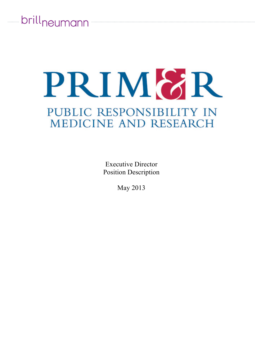### brill<sub>neumann</sub>

# PRIM&R PUBLIC RESPONSIBILITY IN MEDICINE AND RESEARCH

Executive Director Position Description

May 2013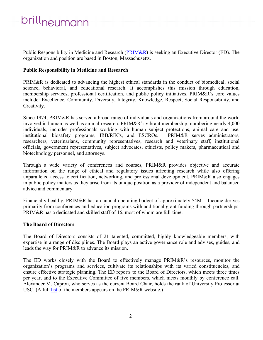## brillneumanr

Public Responsibility in Medicine and Research (PRIM&R) is seeking an Executive Director (ED). The organization and position are based in Boston, Massachusetts.

#### **Public Responsibility in Medicine and Research**

PRIM&R is dedicated to advancing the highest ethical standards in the conduct of biomedical, social science, behavioral, and educational research. It accomplishes this mission through education, membership services, professional certification, and public policy initiatives. PRIM&R's core values include: Excellence, Community, Diversity, Integrity, Knowledge, Respect, Social Responsibility, and Creativity.

Since 1974, PRIM&R has served a broad range of individuals and organizations from around the world involved in human as well as animal research. PRIM&R's vibrant membership, numbering nearly 4,000 individuals, includes professionals working with human subject protections, animal care and use, institutional biosafety programs, IRB/RECs, and ESCROs. PRIM&R serves administrators, researchers, veterinarians, community representatives, research and veterinary staff, institutional officials, government representatives, subject advocates, ethicists, policy makers, pharmaceutical and biotechnology personnel, and attorneys.

Through a wide variety of conferences and courses, PRIM&R provides objective and accurate information on the range of ethical and regulatory issues affecting research while also offering unparalleled access to certification, networking, and professional development. PRIM&R also engages in public policy matters as they arise from its unique position as a provider of independent and balanced advice and commentary.

Financially healthy, PRIM&R has an annual operating budget of approximately \$4M. Income derives primarily from conferences and education programs with additional grant funding through partnerships. PRIM&R has a dedicated and skilled staff of 16, most of whom are full-time.

#### **The Board of Directors**

The Board of Directors consists of 21 talented, committed, highly knowledgeable members, with expertise in a range of disciplines. The Board plays an active governance role and advises, guides, and leads the way for PRIM&R to advance its mission.

The ED works closely with the Board to effectively manage PRIM&R's resources, monitor the organization's programs and services, cultivate its relationships with its varied constituencies, and ensure effective strategic planning. The ED reports to the Board of Directors, which meets three times per year, and to the Executive Committee of five members, which meets monthly by conference call. Alexander M. Capron, who serves as the current Board Chair, holds the rank of University Professor at USC. (A full list of the members appears on the PRIM&R website.)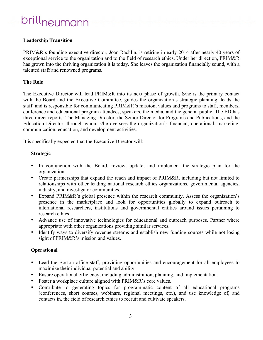### brillneumanr

#### **Leadership Transition**

PRIM&R's founding executive director, Joan Rachlin, is retiring in early 2014 after nearly 40 years of exceptional service to the organization and to the field of research ethics. Under her direction, PRIM&R has grown into the thriving organization it is today. She leaves the organization financially sound, with a talented staff and renowned programs.

#### **The Role**

The Executive Director will lead PRIM&R into its next phase of growth. S/he is the primary contact with the Board and the Executive Committee, guides the organization's strategic planning, leads the staff, and is responsible for communicating PRIM&R's mission, values and programs to staff, members, conference and educational program attendees, speakers, the media, and the general public. The ED has three direct reports: The Managing Director, the Senior Director for Programs and Publications, and the Education Director, through whom s/he oversees the organization's financial, operational, marketing, communication, education, and development activities.

It is specifically expected that the Executive Director will:

#### **Strategic**

- In conjunction with the Board, review, update, and implement the strategic plan for the organization.
- Create partnerships that expand the reach and impact of PRIM&R, including but not limited to relationships with other leading national research ethics organizations, governmental agencies, industry, and investigator communities.
- Expand PRIM&R's global presence within the research community. Assess the organization's presence in the marketplace and look for opportunities globally to expand outreach to international researchers, institutions and governmental entities around issues pertaining to research ethics.
- Advance use of innovative technologies for educational and outreach purposes. Partner where appropriate with other organizations providing similar services.
- Identify ways to diversify revenue streams and establish new funding sources while not losing sight of PRIM&R's mission and values.

#### **Operational**

- Lead the Boston office staff, providing opportunities and encouragement for all employees to maximize their individual potential and ability.
- Ensure operational efficiency, including administration, planning, and implementation.
- Foster a workplace culture aligned with PRIM&R's core values.
- Contribute to generating topics for programmatic content of all educational programs (conferences, short courses, webinars, regional meetings, etc.), and use knowledge of, and contacts in, the field of research ethics to recruit and cultivate speakers.